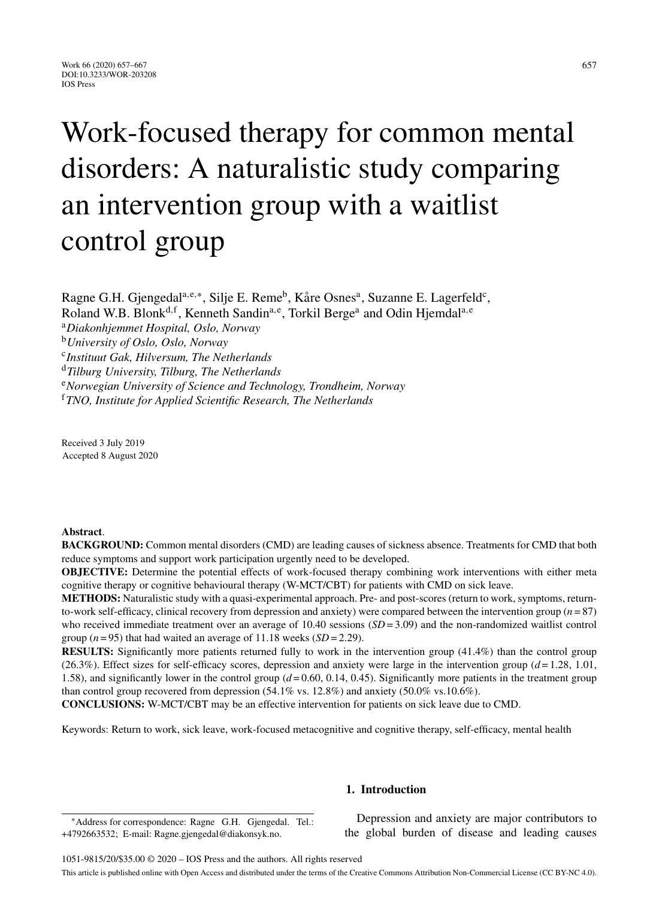# Work-focused therapy for common mental disorders: A naturalistic study comparing an intervention group with a waitlist control group

Ragne G.H. Gjengedal<sup>a,e,∗</sup>, Silje E. Reme<sup>b</sup>, Kåre Osnes<sup>a</sup>, Suzanne E. Lagerfeld<sup>c</sup>, Roland W.B. Blonk<sup>d, f</sup>, Kenneth Sandin<sup>a, e</sup>, Torkil Berge<sup>a</sup> and Odin Hjemdal<sup>a, e</sup>

<sup>a</sup>*Diakonhjemmet Hospital, Oslo, Norway*

<sup>b</sup>*University of Oslo, Oslo, Norway*

<sup>c</sup>*Instituut Gak, Hilversum, The Netherlands*

<sup>d</sup>*Tilburg University, Tilburg, The Netherlands*

<sup>e</sup>*Norwegian University of Science and Technology, Trondheim, Norway*

<sup>f</sup>*TNO, Institute for Applied Scientific Research, The Netherlands*

Received 3 July 2019 Accepted 8 August 2020

#### **Abstract**.

**BACKGROUND:** Common mental disorders (CMD) are leading causes of sickness absence. Treatments for CMD that both reduce symptoms and support work participation urgently need to be developed.

**OBJECTIVE:** Determine the potential effects of work-focused therapy combining work interventions with either meta cognitive therapy or cognitive behavioural therapy (W-MCT/CBT) for patients with CMD on sick leave.

**METHODS:** Naturalistic study with a quasi-experimental approach. Pre- and post-scores (return to work, symptoms, returnto-work self-efficacy, clinical recovery from depression and anxiety) were compared between the intervention group (*n* = 87) who received immediate treatment over an average of 10.40 sessions (*SD* = 3.09) and the non-randomized waitlist control group ( $n = 95$ ) that had waited an average of 11.18 weeks ( $SD = 2.29$ ).

**RESULTS:** Significantly more patients returned fully to work in the intervention group (41.4%) than the control group (26.3%). Effect sizes for self-efficacy scores, depression and anxiety were large in the intervention group  $(d=1.28, 1.01,$ 1.58), and significantly lower in the control group (*d* = 0.60, 0.14, 0.45). Significantly more patients in the treatment group than control group recovered from depression  $(54.1\%$  vs.  $12.8\%)$  and anxiety  $(50.0\%$  vs.  $10.6\%)$ .

**CONCLUSIONS:** W-MCT/CBT may be an effective intervention for patients on sick leave due to CMD.

Keywords: Return to work, sick leave, work-focused metacognitive and cognitive therapy, self-efficacy, mental health

# **1. Introduction**

∗Address for correspondence: Ragne G.H. Gjengedal. Tel.: +4792663532; E-mail: [Ragne.gjengedal@diakonsyk.no.](mailto:Ragne.gjengedal@diakonsyk.no)

Depression and anxiety are major contributors to the global burden of disease and leading causes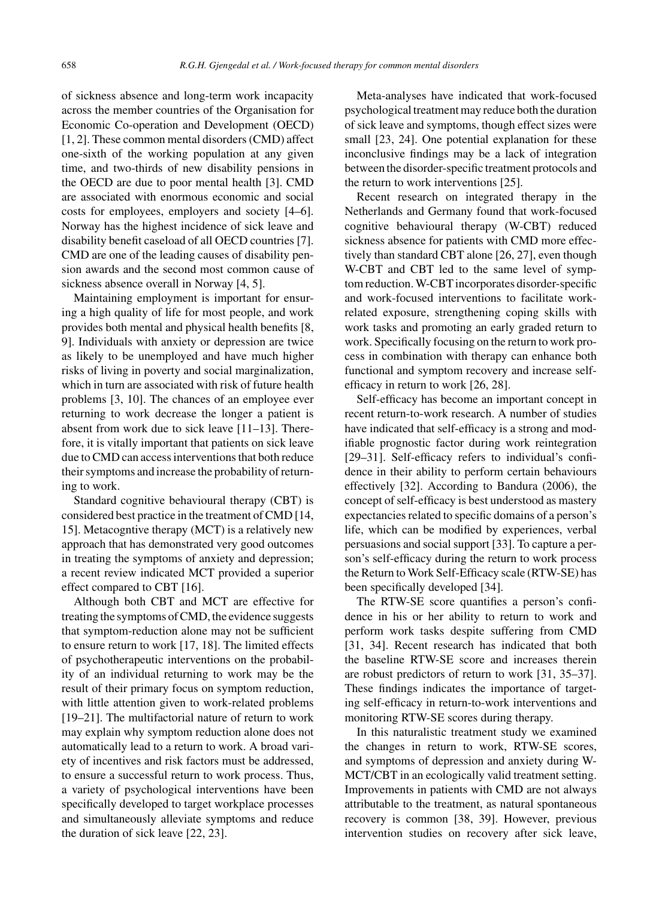of sickness absence and long-term work incapacity across the member countries of the Organisation for Economic Co-operation and Development (OECD) [1, 2]. These common mental disorders (CMD) affect one-sixth of the working population at any given time, and two-thirds of new disability pensions in the OECD are due to poor mental health [3]. CMD are associated with enormous economic and social costs for employees, employers and society [4–6]. Norway has the highest incidence of sick leave and disability benefit caseload of all OECD countries [7]. CMD are one of the leading causes of disability pension awards and the second most common cause of sickness absence overall in Norway [4, 5].

Maintaining employment is important for ensuring a high quality of life for most people, and work provides both mental and physical health benefits [8, 9]. Individuals with anxiety or depression are twice as likely to be unemployed and have much higher risks of living in poverty and social marginalization, which in turn are associated with risk of future health problems [3, 10]. The chances of an employee ever returning to work decrease the longer a patient is absent from work due to sick leave [11–13]. Therefore, it is vitally important that patients on sick leave due to CMD can access interventions that both reduce their symptoms and increase the probability of returning to work.

Standard cognitive behavioural therapy (CBT) is considered best practice in the treatment of CMD [14, 15]. Metacogntive therapy (MCT) is a relatively new approach that has demonstrated very good outcomes in treating the symptoms of anxiety and depression; a recent review indicated MCT provided a superior effect compared to CBT [16].

Although both CBT and MCT are effective for treating the symptoms of CMD, the evidence suggests that symptom-reduction alone may not be sufficient to ensure return to work [17, 18]. The limited effects of psychotherapeutic interventions on the probability of an individual returning to work may be the result of their primary focus on symptom reduction, with little attention given to work-related problems [19–21]. The multifactorial nature of return to work may explain why symptom reduction alone does not automatically lead to a return to work. A broad variety of incentives and risk factors must be addressed, to ensure a successful return to work process. Thus, a variety of psychological interventions have been specifically developed to target workplace processes and simultaneously alleviate symptoms and reduce the duration of sick leave [22, 23].

Meta-analyses have indicated that work-focused psychological treatment may reduce both the duration of sick leave and symptoms, though effect sizes were small [23, 24]. One potential explanation for these inconclusive findings may be a lack of integration between the disorder-specific treatment protocols and the return to work interventions [25].

Recent research on integrated therapy in the Netherlands and Germany found that work-focused cognitive behavioural therapy (W-CBT) reduced sickness absence for patients with CMD more effectively than standard CBT alone [26, 27], even though W-CBT and CBT led to the same level of symptom reduction. W-CBT incorporates disorder-specific and work-focused interventions to facilitate workrelated exposure, strengthening coping skills with work tasks and promoting an early graded return to work. Specifically focusing on the return to work process in combination with therapy can enhance both functional and symptom recovery and increase selfefficacy in return to work [26, 28].

Self-efficacy has become an important concept in recent return-to-work research. A number of studies have indicated that self-efficacy is a strong and modifiable prognostic factor during work reintegration [29–31]. Self-efficacy refers to individual's confidence in their ability to perform certain behaviours effectively [32]. According to Bandura (2006), the concept of self-efficacy is best understood as mastery expectancies related to specific domains of a person's life, which can be modified by experiences, verbal persuasions and social support [33]. To capture a person's self-efficacy during the return to work process the Return to Work Self-Efficacy scale (RTW-SE) has been specifically developed [34].

The RTW-SE score quantifies a person's confidence in his or her ability to return to work and perform work tasks despite suffering from CMD [31, 34]. Recent research has indicated that both the baseline RTW-SE score and increases therein are robust predictors of return to work [31, 35–37]. These findings indicates the importance of targeting self-efficacy in return-to-work interventions and monitoring RTW-SE scores during therapy.

In this naturalistic treatment study we examined the changes in return to work, RTW-SE scores, and symptoms of depression and anxiety during W-MCT/CBT in an ecologically valid treatment setting. Improvements in patients with CMD are not always attributable to the treatment, as natural spontaneous recovery is common [38, 39]. However, previous intervention studies on recovery after sick leave,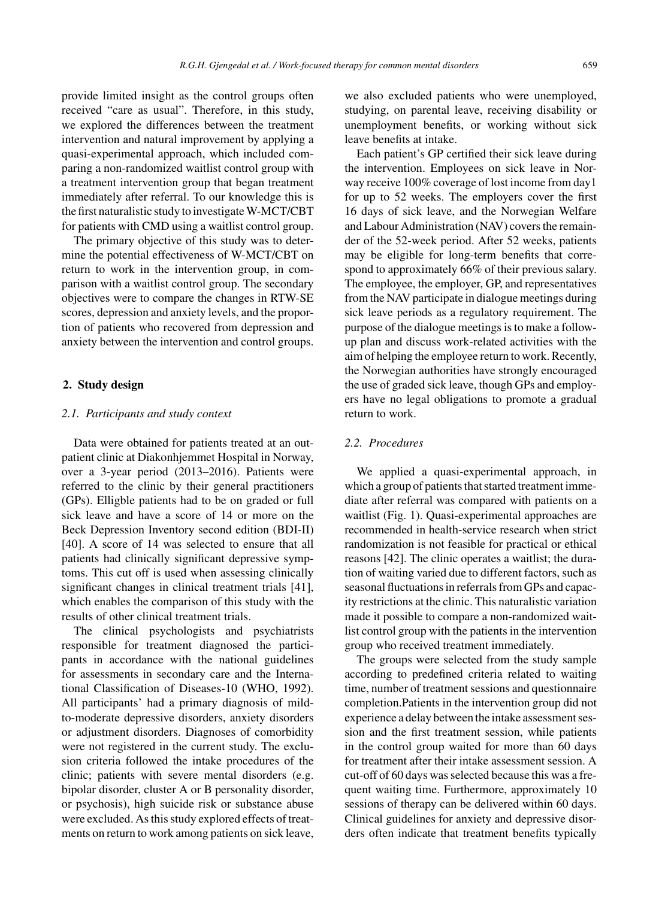provide limited insight as the control groups often received "care as usual". Therefore, in this study, we explored the differences between the treatment intervention and natural improvement by applying a quasi-experimental approach, which included comparing a non-randomized waitlist control group with a treatment intervention group that began treatment immediately after referral. To our knowledge this is the first naturalistic study to investigate W-MCT/CBT for patients with CMD using a waitlist control group.

The primary objective of this study was to determine the potential effectiveness of W-MCT/CBT on return to work in the intervention group, in comparison with a waitlist control group. The secondary objectives were to compare the changes in RTW-SE scores, depression and anxiety levels, and the proportion of patients who recovered from depression and anxiety between the intervention and control groups.

# **2. Study design**

## *2.1. Participants and study context*

Data were obtained for patients treated at an outpatient clinic at Diakonhjemmet Hospital in Norway, over a 3-year period (2013–2016). Patients were referred to the clinic by their general practitioners (GPs). Elligble patients had to be on graded or full sick leave and have a score of 14 or more on the Beck Depression Inventory second edition (BDI-II) [40]. A score of 14 was selected to ensure that all patients had clinically significant depressive symptoms. This cut off is used when assessing clinically significant changes in clinical treatment trials [41], which enables the comparison of this study with the results of other clinical treatment trials.

The clinical psychologists and psychiatrists responsible for treatment diagnosed the participants in accordance with the national guidelines for assessments in secondary care and the International Classification of Diseases-10 (WHO, 1992). All participants' had a primary diagnosis of mildto-moderate depressive disorders, anxiety disorders or adjustment disorders. Diagnoses of comorbidity were not registered in the current study. The exclusion criteria followed the intake procedures of the clinic; patients with severe mental disorders (e.g. bipolar disorder, cluster A or B personality disorder, or psychosis), high suicide risk or substance abuse were excluded. As this study explored effects of treatments on return to work among patients on sick leave, we also excluded patients who were unemployed, studying, on parental leave, receiving disability or unemployment benefits, or working without sick leave benefits at intake.

Each patient's GP certified their sick leave during the intervention. Employees on sick leave in Norway receive 100% coverage of lost income from day1 for up to 52 weeks. The employers cover the first 16 days of sick leave, and the Norwegian Welfare and Labour Administration (NAV) covers the remainder of the 52-week period. After 52 weeks, patients may be eligible for long-term benefits that correspond to approximately 66% of their previous salary. The employee, the employer, GP, and representatives from the NAV participate in dialogue meetings during sick leave periods as a regulatory requirement. The purpose of the dialogue meetings is to make a followup plan and discuss work-related activities with the aim of helping the employee return to work. Recently, the Norwegian authorities have strongly encouraged the use of graded sick leave, though GPs and employers have no legal obligations to promote a gradual return to work.

# *2.2. Procedures*

We applied a quasi-experimental approach, in which a group of patients that started treatment immediate after referral was compared with patients on a waitlist (Fig. 1). Quasi-experimental approaches are recommended in health-service research when strict randomization is not feasible for practical or ethical reasons [42]. The clinic operates a waitlist; the duration of waiting varied due to different factors, such as seasonal fluctuations in referrals from GPs and capacity restrictions at the clinic. This naturalistic variation made it possible to compare a non-randomized waitlist control group with the patients in the intervention group who received treatment immediately.

The groups were selected from the study sample according to predefined criteria related to waiting time, number of treatment sessions and questionnaire completion.Patients in the intervention group did not experience a delay between the intake assessment session and the first treatment session, while patients in the control group waited for more than 60 days for treatment after their intake assessment session. A cut-off of 60 days was selected because this was a frequent waiting time. Furthermore, approximately 10 sessions of therapy can be delivered within 60 days. Clinical guidelines for anxiety and depressive disorders often indicate that treatment benefits typically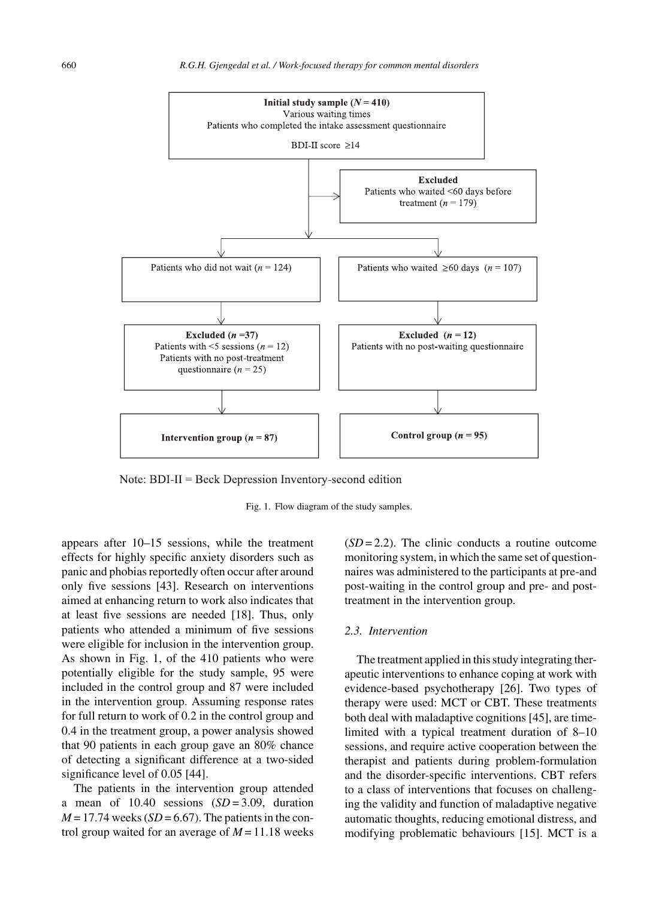

Note:  $BDI-II = Beck$  Depression Inventory-second edition

Fig. 1. Flow diagram of the study samples.

appears after 10–15 sessions, while the treatment effects for highly specific anxiety disorders such as panic and phobias reportedly often occur after around only five sessions [43]. Research on interventions aimed at enhancing return to work also indicates that at least five sessions are needed [18]. Thus, only patients who attended a minimum of five sessions were eligible for inclusion in the intervention group. As shown in Fig. 1, of the 410 patients who were potentially eligible for the study sample, 95 were included in the control group and 87 were included in the intervention group. Assuming response rates for full return to work of 0.2 in the control group and 0.4 in the treatment group, a power analysis showed that 90 patients in each group gave an 80% chance of detecting a significant difference at a two-sided significance level of 0.05 [44].

The patients in the intervention group attended a mean of  $10.40$  sessions  $(SD = 3.09$ , duration  $M = 17.74$  weeks (*SD* = 6.67). The patients in the control group waited for an average of  $M = 11.18$  weeks

 $(SD = 2.2)$ . The clinic conducts a routine outcome monitoring system, in which the same set of questionnaires was administered to the participants at pre-and post-waiting in the control group and pre- and posttreatment in the intervention group.

# *2.3. Intervention*

The treatment applied in this study integrating therapeutic interventions to enhance coping at work with evidence-based psychotherapy [26]. Two types of therapy were used: MCT or CBT. These treatments both deal with maladaptive cognitions [45], are timelimited with a typical treatment duration of 8–10 sessions, and require active cooperation between the therapist and patients during problem-formulation and the disorder-specific interventions. CBT refers to a class of interventions that focuses on challenging the validity and function of maladaptive negative automatic thoughts, reducing emotional distress, and modifying problematic behaviours [15]. MCT is a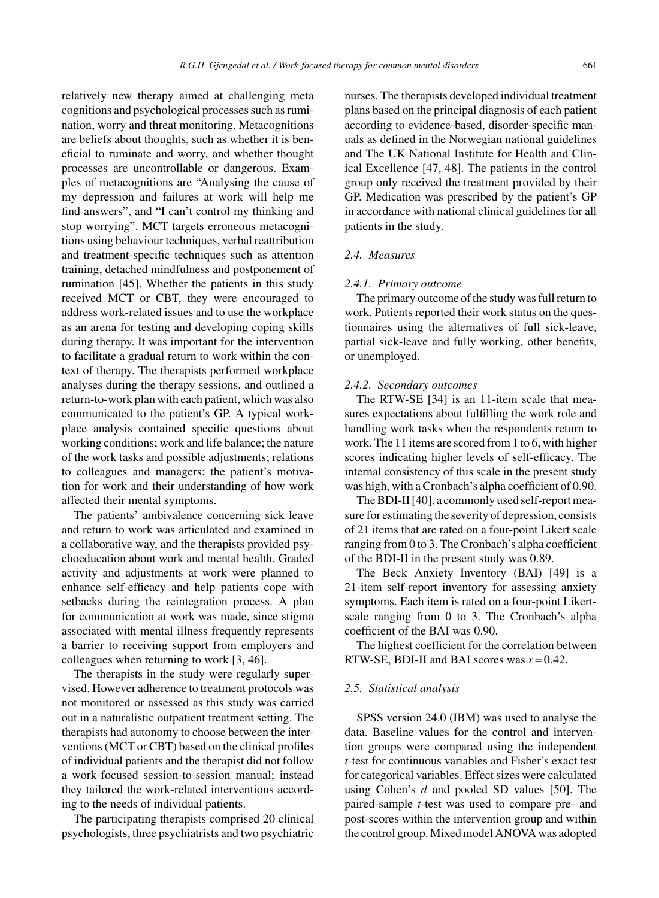relatively new therapy aimed at challenging meta cognitions and psychological processes such as rumination, worry and threat monitoring. Metacognitions are beliefs about thoughts, such as whether it is beneficial to ruminate and worry, and whether thought processes are uncontrollable or dangerous. Examples of metacognitions are "Analysing the cause of my depression and failures at work will help me find answers", and "I can't control my thinking and stop worrying". MCT targets erroneous metacognitions using behaviour techniques, verbal reattribution and treatment-specific techniques such as attention training, detached mindfulness and postponement of rumination [45]. Whether the patients in this study received MCT or CBT, they were encouraged to address work-related issues and to use the workplace as an arena for testing and developing coping skills during therapy. It was important for the intervention to facilitate a gradual return to work within the context of therapy. The therapists performed workplace analyses during the therapy sessions, and outlined a return-to-work plan with each patient, which was also communicated to the patient's GP. A typical workplace analysis contained specific questions about working conditions; work and life balance; the nature of the work tasks and possible adjustments; relations to colleagues and managers; the patient's motivation for work and their understanding of how work affected their mental symptoms.

The patients' ambivalence concerning sick leave and return to work was articulated and examined in a collaborative way, and the therapists provided psychoeducation about work and mental health. Graded activity and adjustments at work were planned to enhance self-efficacy and help patients cope with setbacks during the reintegration process. A plan for communication at work was made, since stigma associated with mental illness frequently represents a barrier to receiving support from employers and colleagues when returning to work [3, 46].

The therapists in the study were regularly supervised. However adherence to treatment protocols was not monitored or assessed as this study was carried out in a naturalistic outpatient treatment setting. The therapists had autonomy to choose between the interventions (MCT or CBT) based on the clinical profiles of individual patients and the therapist did not follow a work-focused session-to-session manual; instead they tailored the work-related interventions according to the needs of individual patients.

The participating therapists comprised 20 clinical psychologists, three psychiatrists and two psychiatric

nurses. The therapists developed individual treatment plans based on the principal diagnosis of each patient according to evidence-based, disorder-specific manuals as defined in the Norwegian national guidelines and The UK National Institute for Health and Clinical Excellence [47, 48]. The patients in the control group only received the treatment provided by their GP. Medication was prescribed by the patient's GP in accordance with national clinical guidelines for all patients in the study.

# *2.4. Measures*

### *2.4.1. Primary outcome*

The primary outcome of the study was full return to work. Patients reported their work status on the questionnaires using the alternatives of full sick-leave, partial sick-leave and fully working, other benefits, or unemployed.

#### *2.4.2. Secondary outcomes*

The RTW-SE [34] is an 11-item scale that measures expectations about fulfilling the work role and handling work tasks when the respondents return to work. The 11 items are scored from 1 to 6, with higher scores indicating higher levels of self-efficacy. The internal consistency of this scale in the present study was high, with a Cronbach's alpha coefficient of 0.90.

The BDI-II [40], a commonly used self-report measure for estimating the severity of depression, consists of 21 items that are rated on a four-point Likert scale ranging from 0 to 3. The Cronbach's alpha coefficient of the BDI-II in the present study was 0.89.

The Beck Anxiety Inventory (BAI) [49] is a 21-item self-report inventory for assessing anxiety symptoms. Each item is rated on a four-point Likertscale ranging from 0 to 3. The Cronbach's alpha coefficient of the BAI was 0.90.

The highest coefficient for the correlation between RTW-SE, BDI-II and BAI scores was  $r = 0.42$ .

#### *2.5. Statistical analysis*

SPSS version 24.0 (IBM) was used to analyse the data. Baseline values for the control and intervention groups were compared using the independent *t*-test for continuous variables and Fisher's exact test for categorical variables. Effect sizes were calculated using Cohen's *d* and pooled SD values [50]. The paired-sample *t*-test was used to compare pre- and post-scores within the intervention group and within the control group. Mixed model ANOVA was adopted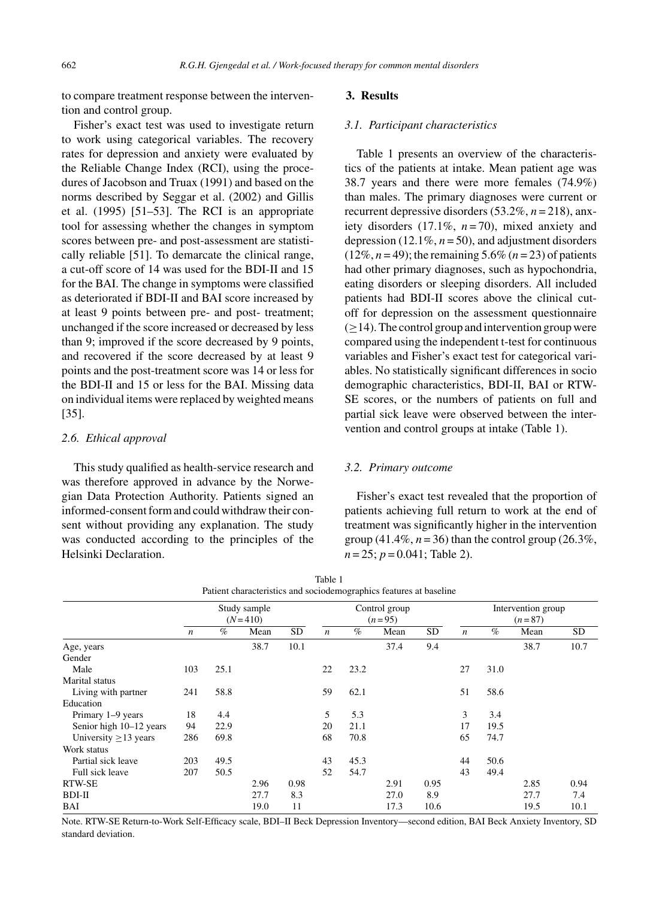to compare treatment response between the intervention and control group.

Fisher's exact test was used to investigate return to work using categorical variables. The recovery rates for depression and anxiety were evaluated by the Reliable Change Index (RCI), using the procedures of Jacobson and Truax (1991) and based on the norms described by Seggar et al. (2002) and Gillis et al. (1995) [51–53]. The RCI is an appropriate tool for assessing whether the changes in symptom scores between pre- and post-assessment are statistically reliable [51]. To demarcate the clinical range, a cut-off score of 14 was used for the BDI-II and 15 for the BAI. The change in symptoms were classified as deteriorated if BDI-II and BAI score increased by at least 9 points between pre- and post- treatment; unchanged if the score increased or decreased by less than 9; improved if the score decreased by 9 points, and recovered if the score decreased by at least 9 points and the post-treatment score was 14 or less for the BDI-II and 15 or less for the BAI. Missing data on individual items were replaced by weighted means [35].

## *2.6. Ethical approval*

This study qualified as health-service research and was therefore approved in advance by the Norwegian Data Protection Authority. Patients signed an informed-consent form and could withdraw their consent without providing any explanation. The study was conducted according to the principles of the Helsinki Declaration.

## **3. Results**

## *3.1. Participant characteristics*

Table 1 presents an overview of the characteristics of the patients at intake. Mean patient age was 38.7 years and there were more females (74.9%) than males. The primary diagnoses were current or recurrent depressive disorders (53.2%, *n* = 218), anxiety disorders (17.1%, *n* = 70), mixed anxiety and depression  $(12.1\%, n=50)$ , and adjustment disorders  $(12\%, n=49)$ ; the remaining 5.6%  $(n=23)$  of patients had other primary diagnoses, such as hypochondria, eating disorders or sleeping disorders. All included patients had BDI-II scores above the clinical cutoff for depression on the assessment questionnaire  $(>14)$ . The control group and intervention group were compared using the independent t-test for continuous variables and Fisher's exact test for categorical variables. No statistically significant differences in socio demographic characteristics, BDI-II, BAI or RTW-SE scores, or the numbers of patients on full and partial sick leave were observed between the intervention and control groups at intake (Table 1).

#### *3.2. Primary outcome*

Fisher's exact test revealed that the proportion of patients achieving full return to work at the end of treatment was significantly higher in the intervention group  $(41.4\%, n=36)$  than the control group  $(26.3\%,$ *n* = 25; *p* = 0.041; Table 2).

| Patient characteristics and sociodemographics features at baseline |                           |      |      |           |                  |                           |      |           |                                |      |      |      |
|--------------------------------------------------------------------|---------------------------|------|------|-----------|------------------|---------------------------|------|-----------|--------------------------------|------|------|------|
|                                                                    | Study sample<br>$(N=410)$ |      |      |           |                  | Control group<br>$(n=95)$ |      |           | Intervention group<br>$(n=87)$ |      |      |      |
|                                                                    | $\boldsymbol{n}$          | $\%$ | Mean | <b>SD</b> | $\boldsymbol{n}$ | $\%$                      | Mean | <b>SD</b> | $\boldsymbol{n}$               | $\%$ | Mean | SD   |
| Age, years                                                         |                           |      | 38.7 | 10.1      |                  |                           | 37.4 | 9.4       |                                |      | 38.7 | 10.7 |
| Gender                                                             |                           |      |      |           |                  |                           |      |           |                                |      |      |      |
| Male                                                               | 103                       | 25.1 |      |           | 22               | 23.2                      |      |           | 27                             | 31.0 |      |      |
| Marital status                                                     |                           |      |      |           |                  |                           |      |           |                                |      |      |      |
| Living with partner                                                | 241                       | 58.8 |      |           | 59               | 62.1                      |      |           | 51                             | 58.6 |      |      |
| Education                                                          |                           |      |      |           |                  |                           |      |           |                                |      |      |      |
| Primary 1-9 years                                                  | 18                        | 4.4  |      |           | 5                | 5.3                       |      |           | 3                              | 3.4  |      |      |
| Senior high 10–12 years                                            | 94                        | 22.9 |      |           | 20               | 21.1                      |      |           | 17                             | 19.5 |      |      |
| University $\geq$ 13 years                                         | 286                       | 69.8 |      |           | 68               | 70.8                      |      |           | 65                             | 74.7 |      |      |
| Work status                                                        |                           |      |      |           |                  |                           |      |           |                                |      |      |      |
| Partial sick leave                                                 | 203                       | 49.5 |      |           | 43               | 45.3                      |      |           | 44                             | 50.6 |      |      |
| Full sick leave                                                    | 207                       | 50.5 |      |           | 52               | 54.7                      |      |           | 43                             | 49.4 |      |      |
| <b>RTW-SE</b>                                                      |                           |      | 2.96 | 0.98      |                  |                           | 2.91 | 0.95      |                                |      | 2.85 | 0.94 |
| BDI-II                                                             |                           |      | 27.7 | 8.3       |                  |                           | 27.0 | 8.9       |                                |      | 27.7 | 7.4  |
| BAI                                                                |                           |      | 19.0 | 11        |                  |                           | 17.3 | 10.6      |                                |      | 19.5 | 10.1 |

Note. RTW-SE Return-to-Work Self-Efficacy scale, BDI–II Beck Depression Inventory—second edition, BAI Beck Anxiety Inventory, SD standard deviation.

| Table 1                                                            |
|--------------------------------------------------------------------|
| Patient characteristics and sociodemographics features at baseline |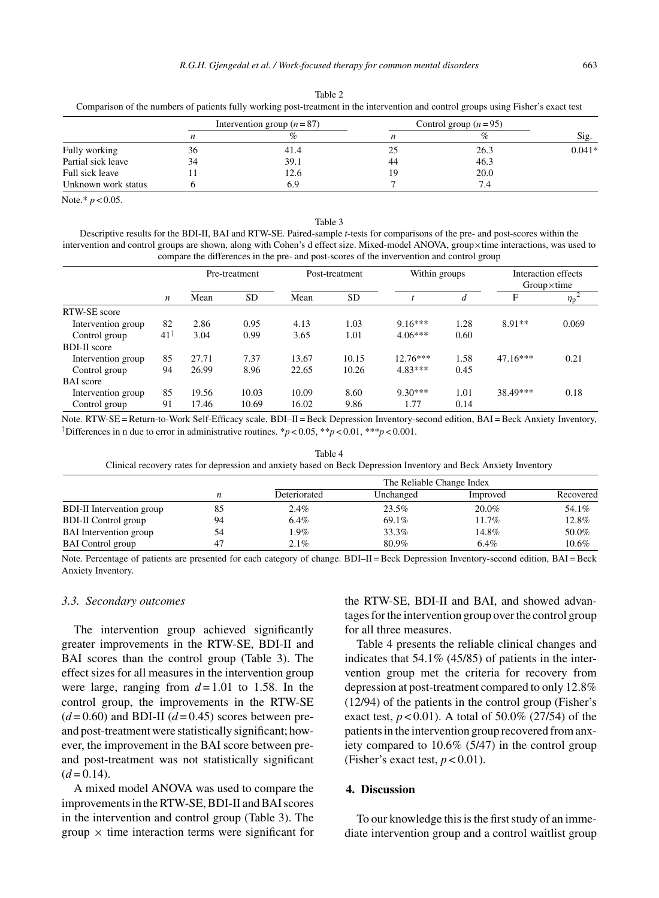| Comparison of the numbers of patients fully working post-treatment in the men vention and control groups using Fisher's exact test |    |                             |                        |      |          |  |  |  |  |  |
|------------------------------------------------------------------------------------------------------------------------------------|----|-----------------------------|------------------------|------|----------|--|--|--|--|--|
|                                                                                                                                    |    | Intervention group $(n=87)$ | Control group $(n=95)$ |      |          |  |  |  |  |  |
|                                                                                                                                    | n  | %                           |                        | $\%$ | Sig.     |  |  |  |  |  |
| Fully working                                                                                                                      | 36 | 41.4                        | 25                     | 26.3 | $0.041*$ |  |  |  |  |  |
| Partial sick leave                                                                                                                 | 34 | 39.1                        | 44                     | 46.3 |          |  |  |  |  |  |
| Full sick leave                                                                                                                    |    | 12.6                        | 19                     | 20.0 |          |  |  |  |  |  |
| Unknown work status                                                                                                                |    | 6.9                         |                        |      |          |  |  |  |  |  |

Table 2 Comparison of the numbers of patients fully working post-treatment in the intervention and control groups using Fisher's exact test

Note.\* *p* < 0.05.

#### Table 3

Descriptive results for the BDI-II, BAI and RTW-SE. Paired-sample *t*-tests for comparisons of the pre- and post-scores within the intervention and control groups are shown, along with Cohen's d effect size. Mixed-model ANOVA, group×time interactions, was used to compare the differences in the pre- and post-scores of the invervention and control group

|                     |     | Pre-treatment |           | Post-treatment |           | Within groups |      | Interaction effects<br>$Group\times time$ |                |
|---------------------|-----|---------------|-----------|----------------|-----------|---------------|------|-------------------------------------------|----------------|
|                     | n   | Mean          | <b>SD</b> | Mean           | <b>SD</b> |               | d    | F                                         | $\eta_{\rm p}$ |
| RTW-SE score        |     |               |           |                |           |               |      |                                           |                |
| Intervention group  | 82  | 2.86          | 0.95      | 4.13           | 1.03      | $9.16***$     | 1.28 | $8.91**$                                  | 0.069          |
| Control group       | 41† | 3.04          | 0.99      | 3.65           | 1.01      | $4.06***$     | 0.60 |                                           |                |
| <b>BDI-II</b> score |     |               |           |                |           |               |      |                                           |                |
| Intervention group  | 85  | 27.71         | 7.37      | 13.67          | 10.15     | $12.76***$    | 1.58 | $47.16***$                                | 0.21           |
| Control group       | 94  | 26.99         | 8.96      | 22.65          | 10.26     | $4.83***$     | 0.45 |                                           |                |
| <b>BAI</b> score    |     |               |           |                |           |               |      |                                           |                |
| Intervention group  | 85  | 19.56         | 10.03     | 10.09          | 8.60      | $9.30***$     | 1.01 | 38.49***                                  | 0.18           |
| Control group       | 91  | 17.46         | 10.69     | 16.02          | 9.86      | 1.77          | 0.14 |                                           |                |

Note. RTW-SE = Return-to-Work Self-Efficacy scale, BDI–II = Beck Depression Inventory-second edition, BAI = Beck Anxiety Inventory, <sup>†</sup>Differences in n due to error in administrative routines. \* $p < 0.05$ , \*\* $p < 0.01$ , \*\*\* $p < 0.001$ .

Table 4 Clinical recovery rates for depression and anxiety based on Beck Depression Inventory and Beck Anxiety Inventory

|                                  | The Reliable Change Index |              |           |          |           |  |  |  |  |  |
|----------------------------------|---------------------------|--------------|-----------|----------|-----------|--|--|--|--|--|
|                                  |                           | Deteriorated | Unchanged | Improved | Recovered |  |  |  |  |  |
| <b>BDI-II</b> Intervention group | 85                        | 2.4%         | 23.5%     | 20.0%    | 54.1%     |  |  |  |  |  |
| <b>BDI-II Control group</b>      | 94                        | 6.4%         | 69.1%     | 11.7%    | 12.8%     |  |  |  |  |  |
| <b>BAI</b> Intervention group    | 54                        | 1.9%         | 33.3%     | 14.8%    | 50.0%     |  |  |  |  |  |
| <b>BAI</b> Control group         |                           | $2.1\%$      | 80.9%     | 6.4%     | $10.6\%$  |  |  |  |  |  |

Note. Percentage of patients are presented for each category of change. BDI–II = Beck Depression Inventory-second edition, BAI = Beck Anxiety Inventory.

#### *3.3. Secondary outcomes*

The intervention group achieved significantly greater improvements in the RTW-SE, BDI-II and BAI scores than the control group (Table 3). The effect sizes for all measures in the intervention group were large, ranging from  $d = 1.01$  to 1.58. In the control group, the improvements in the RTW-SE  $(d=0.60)$  and BDI-II  $(d=0.45)$  scores between preand post-treatment were statistically significant; however, the improvement in the BAI score between preand post-treatment was not statistically significant  $(d=0.14)$ .

A mixed model ANOVA was used to compare the improvements in the RTW-SE, BDI-II and BAI scores in the intervention and control group (Table 3). The group  $\times$  time interaction terms were significant for the RTW-SE, BDI-II and BAI, and showed advantages for the intervention group over the control group for all three measures.

Table 4 presents the reliable clinical changes and indicates that 54.1% (45/85) of patients in the intervention group met the criteria for recovery from depression at post-treatment compared to only 12.8% (12/94) of the patients in the control group (Fisher's exact test,  $p < 0.01$ ). A total of 50.0% (27/54) of the patients in the intervention group recovered from anxiety compared to 10.6% (5/47) in the control group (Fisher's exact test,  $p < 0.01$ ).

#### **4. Discussion**

To our knowledge this is the first study of an immediate intervention group and a control waitlist group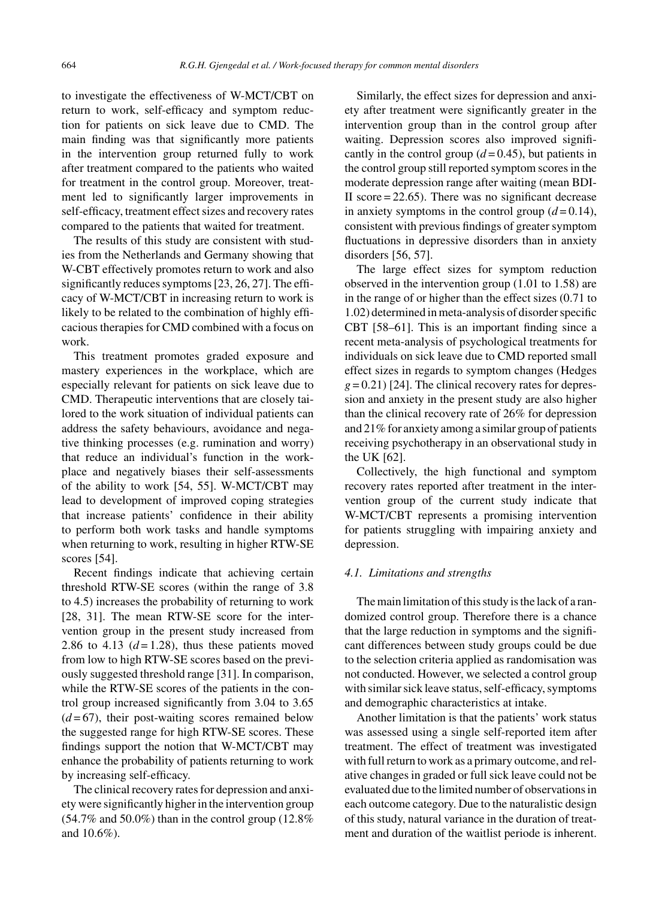to investigate the effectiveness of W-MCT/CBT on return to work, self-efficacy and symptom reduction for patients on sick leave due to CMD. The main finding was that significantly more patients in the intervention group returned fully to work after treatment compared to the patients who waited for treatment in the control group. Moreover, treatment led to significantly larger improvements in self-efficacy, treatment effect sizes and recovery rates compared to the patients that waited for treatment.

The results of this study are consistent with studies from the Netherlands and Germany showing that W-CBT effectively promotes return to work and also significantly reduces symptoms [23, 26, 27]. The efficacy of W-MCT/CBT in increasing return to work is likely to be related to the combination of highly efficacious therapies for CMD combined with a focus on work.

This treatment promotes graded exposure and mastery experiences in the workplace, which are especially relevant for patients on sick leave due to CMD. Therapeutic interventions that are closely tailored to the work situation of individual patients can address the safety behaviours, avoidance and negative thinking processes (e.g. rumination and worry) that reduce an individual's function in the workplace and negatively biases their self-assessments of the ability to work [54, 55]. W-MCT/CBT may lead to development of improved coping strategies that increase patients' confidence in their ability to perform both work tasks and handle symptoms when returning to work, resulting in higher RTW-SE scores [54].

Recent findings indicate that achieving certain threshold RTW-SE scores (within the range of 3.8 to 4.5) increases the probability of returning to work [28, 31]. The mean RTW-SE score for the intervention group in the present study increased from 2.86 to 4.13  $(d=1.28)$ , thus these patients moved from low to high RTW-SE scores based on the previously suggested threshold range [31]. In comparison, while the RTW-SE scores of the patients in the control group increased significantly from 3.04 to 3.65  $(d=67)$ , their post-waiting scores remained below the suggested range for high RTW-SE scores. These findings support the notion that W-MCT/CBT may enhance the probability of patients returning to work by increasing self-efficacy.

The clinical recovery rates for depression and anxiety were significantly higher in the intervention group (54.7% and 50.0%) than in the control group (12.8% and 10.6%).

Similarly, the effect sizes for depression and anxiety after treatment were significantly greater in the intervention group than in the control group after waiting. Depression scores also improved significantly in the control group  $(d=0.45)$ , but patients in the control group still reported symptom scores in the moderate depression range after waiting (mean BDI-II score  $= 22.65$ ). There was no significant decrease in anxiety symptoms in the control group  $(d=0.14)$ , consistent with previous findings of greater symptom fluctuations in depressive disorders than in anxiety disorders [56, 57].

The large effect sizes for symptom reduction observed in the intervention group (1.01 to 1.58) are in the range of or higher than the effect sizes (0.71 to 1.02) determined in meta-analysis of disorder specific CBT [58–61]. This is an important finding since a recent meta-analysis of psychological treatments for individuals on sick leave due to CMD reported small effect sizes in regards to symptom changes (Hedges  $g = 0.21$ ) [24]. The clinical recovery rates for depression and anxiety in the present study are also higher than the clinical recovery rate of 26% for depression and 21% for anxiety among a similar group of patients receiving psychotherapy in an observational study in the UK [62].

Collectively, the high functional and symptom recovery rates reported after treatment in the intervention group of the current study indicate that W-MCT/CBT represents a promising intervention for patients struggling with impairing anxiety and depression.

#### *4.1. Limitations and strengths*

The main limitation of this study is the lack of a randomized control group. Therefore there is a chance that the large reduction in symptoms and the significant differences between study groups could be due to the selection criteria applied as randomisation was not conducted. However, we selected a control group with similar sick leave status, self-efficacy, symptoms and demographic characteristics at intake.

Another limitation is that the patients' work status was assessed using a single self-reported item after treatment. The effect of treatment was investigated with full return to work as a primary outcome, and relative changes in graded or full sick leave could not be evaluated due to the limited number of observations in each outcome category. Due to the naturalistic design of this study, natural variance in the duration of treatment and duration of the waitlist periode is inherent.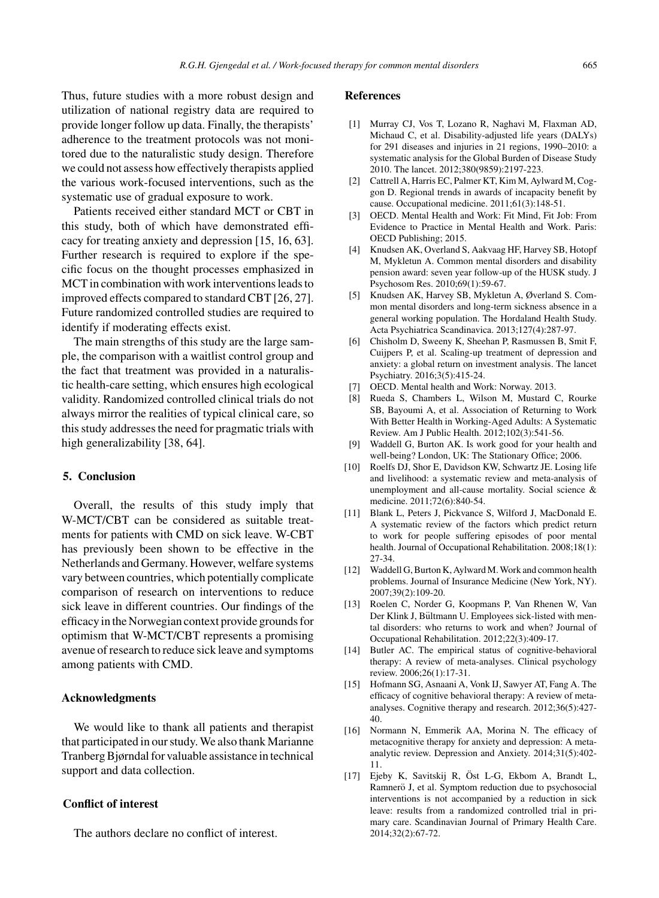Thus, future studies with a more robust design and utilization of national registry data are required to provide longer follow up data. Finally, the therapists' adherence to the treatment protocols was not monitored due to the naturalistic study design. Therefore we could not assess how effectively therapists applied the various work-focused interventions, such as the systematic use of gradual exposure to work.

Patients received either standard MCT or CBT in this study, both of which have demonstrated efficacy for treating anxiety and depression [15, 16, 63]. Further research is required to explore if the specific focus on the thought processes emphasized in MCT in combination with work interventions leads to improved effects compared to standard CBT [26, 27]. Future randomized controlled studies are required to identify if moderating effects exist.

The main strengths of this study are the large sample, the comparison with a waitlist control group and the fact that treatment was provided in a naturalistic health-care setting, which ensures high ecological validity. Randomized controlled clinical trials do not always mirror the realities of typical clinical care, so this study addresses the need for pragmatic trials with high generalizability [38, 64].

### **5. Conclusion**

Overall, the results of this study imply that W-MCT/CBT can be considered as suitable treatments for patients with CMD on sick leave. W-CBT has previously been shown to be effective in the Netherlands and Germany. However, welfare systems vary between countries, which potentially complicate comparison of research on interventions to reduce sick leave in different countries. Our findings of the efficacy in the Norwegian context provide grounds for optimism that W-MCT/CBT represents a promising avenue of research to reduce sick leave and symptoms among patients with CMD.

# **Acknowledgments**

We would like to thank all patients and therapist that participated in our study. We also thank Marianne Tranberg Bjørndal for valuable assistance in technical support and data collection.

# **Conflict of interest**

The authors declare no conflict of interest.

## **References**

- [1] Murray CJ, Vos T, Lozano R, Naghavi M, Flaxman AD, Michaud C, et al. Disability-adjusted life years (DALYs) for 291 diseases and injuries in 21 regions, 1990–2010: a systematic analysis for the Global Burden of Disease Study 2010. The lancet. 2012;380(9859):2197-223.
- [2] Cattrell A, Harris EC, Palmer KT, Kim M, Aylward M, Coggon D. Regional trends in awards of incapacity benefit by cause. Occupational medicine. 2011;61(3):148-51.
- [3] OECD. Mental Health and Work: Fit Mind, Fit Job: From Evidence to Practice in Mental Health and Work. Paris: OECD Publishing; 2015.
- [4] Knudsen AK, Overland S, Aakvaag HF, Harvey SB, Hotopf M, Mykletun A. Common mental disorders and disability pension award: seven year follow-up of the HUSK study. J Psychosom Res. 2010;69(1):59-67.
- [5] Knudsen AK, Harvey SB, Mykletun A, Øverland S. Common mental disorders and long-term sickness absence in a general working population. The Hordaland Health Study. Acta Psychiatrica Scandinavica. 2013;127(4):287-97.
- [6] Chisholm D, Sweeny K, Sheehan P, Rasmussen B, Smit F, Cuijpers P, et al. Scaling-up treatment of depression and anxiety: a global return on investment analysis. The lancet Psychiatry. 2016;3(5):415-24.
- [7] OECD. Mental health and Work: Norway. 2013.
- [8] Rueda S, Chambers L, Wilson M, Mustard C, Rourke SB, Bayoumi A, et al. Association of Returning to Work With Better Health in Working-Aged Adults: A Systematic Review. Am J Public Health. 2012;102(3):541-56.
- [9] Waddell G, Burton AK. Is work good for your health and well-being? London, UK: The Stationary Office; 2006.
- [10] Roelfs DJ, Shor E, Davidson KW, Schwartz JE. Losing life and livelihood: a systematic review and meta-analysis of unemployment and all-cause mortality. Social science & medicine. 2011;72(6):840-54.
- [11] Blank L, Peters J, Pickvance S, Wilford J, MacDonald E. A systematic review of the factors which predict return to work for people suffering episodes of poor mental health. Journal of Occupational Rehabilitation. 2008;18(1): 27-34.
- [12] Waddell G, Burton K, Aylward M. Work and common health problems. Journal of Insurance Medicine (New York, NY). 2007;39(2):109-20.
- [13] Roelen C, Norder G, Koopmans P, Van Rhenen W, Van Der Klink J, Bültmann U. Employees sick-listed with mental disorders: who returns to work and when? Journal of Occupational Rehabilitation. 2012;22(3):409-17.
- [14] Butler AC. The empirical status of cognitive-behavioral therapy: A review of meta-analyses. Clinical psychology review. 2006;26(1):17-31.
- [15] Hofmann SG, Asnaani A, Vonk IJ, Sawyer AT, Fang A. The efficacy of cognitive behavioral therapy: A review of metaanalyses. Cognitive therapy and research. 2012;36(5):427- 40.
- [16] Normann N, Emmerik AA, Morina N. The efficacy of metacognitive therapy for anxiety and depression: A metaanalytic review. Depression and Anxiety. 2014;31(5):402- 11.
- [17] Ejeby K, Savitskij R, Öst L-G, Ekbom A, Brandt L, Ramnerö J, et al. Symptom reduction due to psychosocial interventions is not accompanied by a reduction in sick leave: results from a randomized controlled trial in primary care. Scandinavian Journal of Primary Health Care. 2014;32(2):67-72.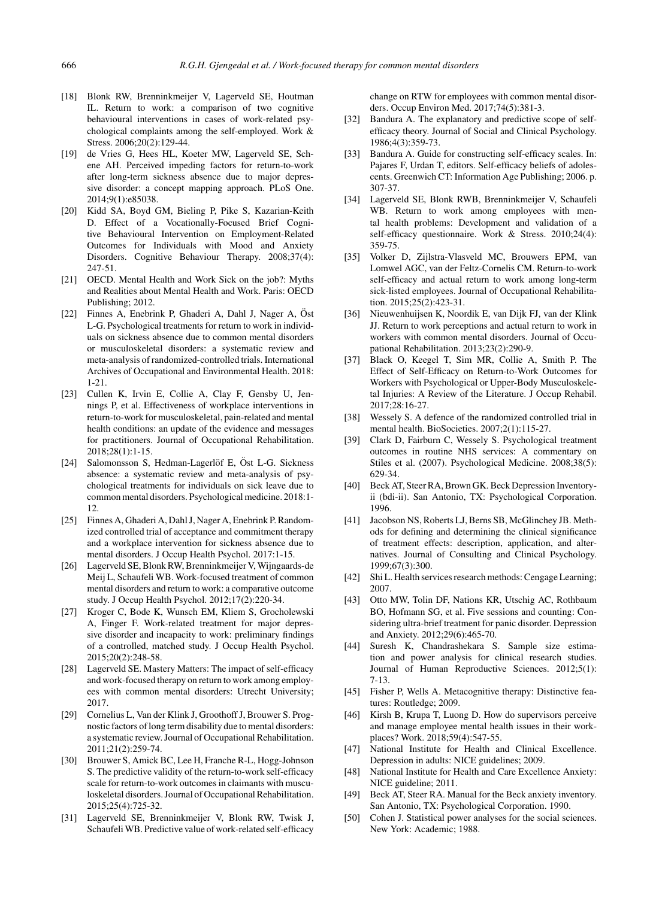- [18] Blonk RW, Brenninkmeijer V, Lagerveld SE, Houtman IL. Return to work: a comparison of two cognitive behavioural interventions in cases of work-related psychological complaints among the self-employed. Work & Stress. 2006;20(2):129-44.
- [19] de Vries G, Hees HL, Koeter MW, Lagerveld SE, Schene AH. Perceived impeding factors for return-to-work after long-term sickness absence due to major depressive disorder: a concept mapping approach. PLoS One. 2014;9(1):e85038.
- [20] Kidd SA, Boyd GM, Bieling P, Pike S, Kazarian-Keith D. Effect of a Vocationally-Focused Brief Cognitive Behavioural Intervention on Employment-Related Outcomes for Individuals with Mood and Anxiety Disorders. Cognitive Behaviour Therapy. 2008;37(4): 247-51.
- [21] OECD. Mental Health and Work Sick on the job?: Myths and Realities about Mental Health and Work. Paris: OECD Publishing; 2012.
- [22] Finnes A, Enebrink P, Ghaderi A, Dahl J, Nager A, Öst L-G. Psychological treatments for return to work in individuals on sickness absence due to common mental disorders or musculoskeletal disorders: a systematic review and meta-analysis of randomized-controlled trials. International Archives of Occupational and Environmental Health. 2018: 1-21.
- [23] Cullen K, Irvin E, Collie A, Clay F, Gensby U, Jennings P, et al. Effectiveness of workplace interventions in return-to-work for musculoskeletal, pain-related and mental health conditions: an update of the evidence and messages for practitioners. Journal of Occupational Rehabilitation. 2018;28(1):1-15.
- [24] Salomonsson S, Hedman-Lagerlöf E, Öst L-G. Sickness absence: a systematic review and meta-analysis of psychological treatments for individuals on sick leave due to common mental disorders. Psychological medicine. 2018:1- 12.
- [25] Finnes A, Ghaderi A, Dahl J, Nager A, Enebrink P. Randomized controlled trial of acceptance and commitment therapy and a workplace intervention for sickness absence due to mental disorders. J Occup Health Psychol. 2017:1-15.
- [26] Lagerveld SE, Blonk RW, Brenninkmeijer V, Wijngaards-de Meij L, Schaufeli WB. Work-focused treatment of common mental disorders and return to work: a comparative outcome study. J Occup Health Psychol. 2012;17(2):220-34.
- [27] Kroger C, Bode K, Wunsch EM, Kliem S, Grocholewski A, Finger F. Work-related treatment for major depressive disorder and incapacity to work: preliminary findings of a controlled, matched study. J Occup Health Psychol. 2015;20(2):248-58.
- [28] Lagerveld SE. Mastery Matters: The impact of self-efficacy and work-focused therapy on return to work among employees with common mental disorders: Utrecht University; 2017.
- [29] Cornelius L, Van der Klink J, Groothoff J, Brouwer S. Prognostic factors of long term disability due to mental disorders: a systematic review. Journal of Occupational Rehabilitation. 2011;21(2):259-74.
- [30] Brouwer S, Amick BC, Lee H, Franche R-L, Hogg-Johnson S. The predictive validity of the return-to-work self-efficacy scale for return-to-work outcomes in claimants with musculoskeletal disorders. Journal of Occupational Rehabilitation. 2015;25(4):725-32.
- [31] Lagerveld SE, Brenninkmeijer V, Blonk RW, Twisk J, Schaufeli WB. Predictive value of work-related self-efficacy

change on RTW for employees with common mental disorders. Occup Environ Med. 2017;74(5):381-3.

- [32] Bandura A. The explanatory and predictive scope of selfefficacy theory. Journal of Social and Clinical Psychology. 1986;4(3):359-73.
- [33] Bandura A. Guide for constructing self-efficacy scales. In: Pajares F, Urdan T, editors. Self-efficacy beliefs of adolescents. Greenwich CT: Information Age Publishing; 2006. p. 307-37.
- [34] Lagerveld SE, Blonk RWB, Brenninkmeijer V, Schaufeli WB. Return to work among employees with mental health problems: Development and validation of a self-efficacy questionnaire. Work & Stress. 2010;24(4): 359-75.
- [35] Volker D, Zijlstra-Vlasveld MC, Brouwers EPM, van Lomwel AGC, van der Feltz-Cornelis CM. Return-to-work self-efficacy and actual return to work among long-term sick-listed employees. Journal of Occupational Rehabilitation. 2015;25(2):423-31.
- [36] Nieuwenhuijsen K, Noordik E, van Dijk FJ, van der Klink JJ. Return to work perceptions and actual return to work in workers with common mental disorders. Journal of Occupational Rehabilitation. 2013;23(2):290-9.
- [37] Black O, Keegel T, Sim MR, Collie A, Smith P. The Effect of Self-Efficacy on Return-to-Work Outcomes for Workers with Psychological or Upper-Body Musculoskeletal Injuries: A Review of the Literature. J Occup Rehabil. 2017;28:16-27.
- [38] Wessely S. A defence of the randomized controlled trial in mental health. BioSocieties. 2007;2(1):115-27.
- [39] Clark D, Fairburn C, Wessely S. Psychological treatment outcomes in routine NHS services: A commentary on Stiles et al. (2007). Psychological Medicine. 2008;38(5): 629-34.
- [40] Beck AT, Steer RA, Brown GK. Beck Depression Inventoryii (bdi-ii). San Antonio, TX: Psychological Corporation. 1996.
- [41] Jacobson NS, Roberts LJ, Berns SB, McGlinchey JB. Methods for defining and determining the clinical significance of treatment effects: description, application, and alternatives. Journal of Consulting and Clinical Psychology. 1999;67(3):300.
- [42] Shi L. Health services research methods: Cengage Learning; 2007.
- [43] Otto MW, Tolin DF, Nations KR, Utschig AC, Rothbaum BO, Hofmann SG, et al. Five sessions and counting: Considering ultra-brief treatment for panic disorder. Depression and Anxiety. 2012;29(6):465-70.
- [44] Suresh K, Chandrashekara S. Sample size estimation and power analysis for clinical research studies. Journal of Human Reproductive Sciences. 2012;5(1): 7-13.
- [45] Fisher P, Wells A. Metacognitive therapy: Distinctive features: Routledge; 2009.
- [46] Kirsh B, Krupa T, Luong D. How do supervisors perceive and manage employee mental health issues in their workplaces? Work. 2018;59(4):547-55.
- [47] National Institute for Health and Clinical Excellence. Depression in adults: NICE guidelines; 2009.
- [48] National Institute for Health and Care Excellence Anxiety: NICE guideline; 2011.
- [49] Beck AT, Steer RA. Manual for the Beck anxiety inventory. San Antonio, TX: Psychological Corporation. 1990.
- [50] Cohen J. Statistical power analyses for the social sciences. New York: Academic; 1988.